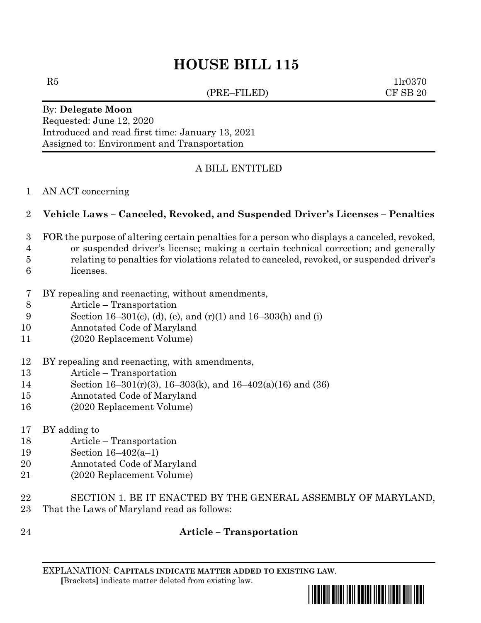# **HOUSE BILL 115**

(PRE–FILED) CF SB 20

 $R5$  1lr0370

#### By: **Delegate Moon** Requested: June 12, 2020 Introduced and read first time: January 13, 2021 Assigned to: Environment and Transportation

# A BILL ENTITLED

AN ACT concerning

### **Vehicle Laws – Canceled, Revoked, and Suspended Driver's Licenses – Penalties**

- FOR the purpose of altering certain penalties for a person who displays a canceled, revoked,
- or suspended driver's license; making a certain technical correction; and generally
- relating to penalties for violations related to canceled, revoked, or suspended driver's
- licenses.
- BY repealing and reenacting, without amendments,
- Article Transportation
- Section 16–301(c), (d), (e), and (r)(1) and 16–303(h) and (i)
- Annotated Code of Maryland
- (2020 Replacement Volume)
- BY repealing and reenacting, with amendments,
- Article Transportation
- Section 16–301(r)(3), 16–303(k), and 16–402(a)(16) and (36)
- Annotated Code of Maryland
- (2020 Replacement Volume)
- BY adding to
- Article Transportation
- Section 16–402(a–1)
- Annotated Code of Maryland
- (2020 Replacement Volume)
- SECTION 1. BE IT ENACTED BY THE GENERAL ASSEMBLY OF MARYLAND, That the Laws of Maryland read as follows:
- 

# **Article – Transportation**

EXPLANATION: **CAPITALS INDICATE MATTER ADDED TO EXISTING LAW**.  **[**Brackets**]** indicate matter deleted from existing law.

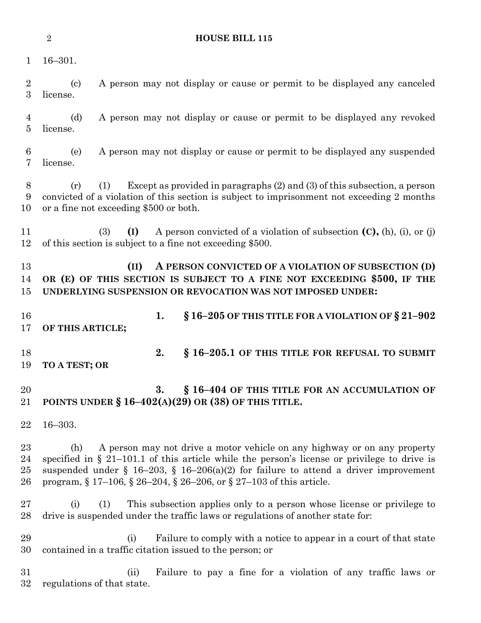**HOUSE BILL 115**

16–301.

 (c) A person may not display or cause or permit to be displayed any canceled license.

 (d) A person may not display or cause or permit to be displayed any revoked license.

 (e) A person may not display or cause or permit to be displayed any suspended license.

 (r) (1) Except as provided in paragraphs (2) and (3) of this subsection, a person convicted of a violation of this section is subject to imprisonment not exceeding 2 months or a fine not exceeding \$500 or both.

 (3) **(I)** A person convicted of a violation of subsection **(C),** (h), (i), or (j) of this section is subject to a fine not exceeding \$500.

 **(II) A PERSON CONVICTED OF A VIOLATION OF SUBSECTION (D) OR (E) OF THIS SECTION IS SUBJECT TO A FINE NOT EXCEEDING \$500, IF THE UNDERLYING SUSPENSION OR REVOCATION WAS NOT IMPOSED UNDER:**

 **1. § 16–205 OF THIS TITLE FOR A VIOLATION OF § 21–902 OF THIS ARTICLE; 2. § 16–205.1 OF THIS TITLE FOR REFUSAL TO SUBMIT** 

**TO A TEST; OR**

 **3. § 16–404 OF THIS TITLE FOR AN ACCUMULATION OF POINTS UNDER § 16–402(A)(29) OR (38) OF THIS TITLE.**

16–303.

 (h) A person may not drive a motor vehicle on any highway or on any property specified in § 21–101.1 of this article while the person's license or privilege to drive is 25 suspended under § 16–203, § 16–206(a)(2) for failure to attend a driver improvement program, § 17–106, § 26–204, § 26–206, or § 27–103 of this article.

 (i) (1) This subsection applies only to a person whose license or privilege to drive is suspended under the traffic laws or regulations of another state for:

 (i) Failure to comply with a notice to appear in a court of that state contained in a traffic citation issued to the person; or

 (ii) Failure to pay a fine for a violation of any traffic laws or regulations of that state.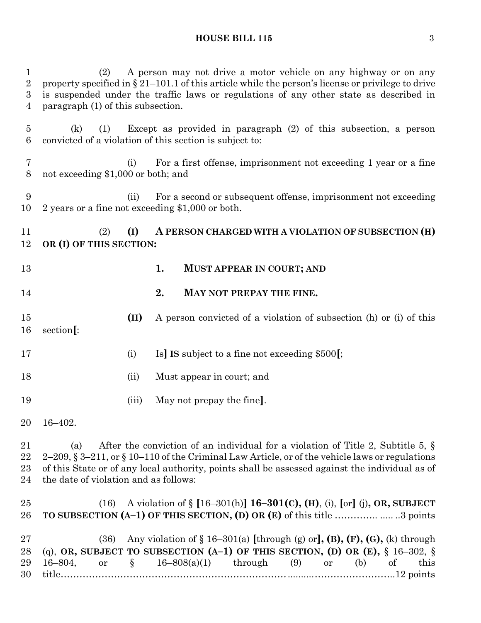### **HOUSE BILL 115** 3

| $\mathbf{1}$<br>$\overline{2}$<br>$\boldsymbol{3}$<br>$\overline{4}$ | A person may not drive a motor vehicle on any highway or on any<br>(2)<br>property specified in $\S 21-101.1$ of this article while the person's license or privilege to drive<br>is suspended under the traffic laws or regulations of any other state as described in<br>paragraph (1) of this subsection.                                   |       |                                                                                                                                                                                                                           |
|----------------------------------------------------------------------|------------------------------------------------------------------------------------------------------------------------------------------------------------------------------------------------------------------------------------------------------------------------------------------------------------------------------------------------|-------|---------------------------------------------------------------------------------------------------------------------------------------------------------------------------------------------------------------------------|
| $\overline{5}$<br>6                                                  | (k)<br>(1)                                                                                                                                                                                                                                                                                                                                     |       | Except as provided in paragraph $(2)$ of this subsection, a person<br>convicted of a violation of this section is subject to:                                                                                             |
| 7<br>8                                                               | For a first offense, imprisonment not exceeding 1 year or a fine<br>(i)<br>not exceeding \$1,000 or both; and                                                                                                                                                                                                                                  |       |                                                                                                                                                                                                                           |
| 9<br>10                                                              |                                                                                                                                                                                                                                                                                                                                                | (ii)  | For a second or subsequent offense, imprisonment not exceeding<br>2 years or a fine not exceeding \$1,000 or both.                                                                                                        |
| 11<br>12                                                             | (2)<br>OR (I) OF THIS SECTION:                                                                                                                                                                                                                                                                                                                 | (I)   | A PERSON CHARGED WITH A VIOLATION OF SUBSECTION (H)                                                                                                                                                                       |
| 13                                                                   |                                                                                                                                                                                                                                                                                                                                                |       | 1.<br><b>MUST APPEAR IN COURT; AND</b>                                                                                                                                                                                    |
| 14                                                                   |                                                                                                                                                                                                                                                                                                                                                |       | 2.<br>MAY NOT PREPAY THE FINE.                                                                                                                                                                                            |
| 15<br>16                                                             | section[:                                                                                                                                                                                                                                                                                                                                      | (II)  | A person convicted of a violation of subsection (h) or (i) of this                                                                                                                                                        |
| 17                                                                   |                                                                                                                                                                                                                                                                                                                                                | (i)   | Is] IS subject to a fine not exceeding \$500.                                                                                                                                                                             |
| 18                                                                   |                                                                                                                                                                                                                                                                                                                                                | (ii)  | Must appear in court; and                                                                                                                                                                                                 |
| 19                                                                   |                                                                                                                                                                                                                                                                                                                                                | (iii) | May not prepay the fine.                                                                                                                                                                                                  |
|                                                                      | 20 16-402.                                                                                                                                                                                                                                                                                                                                     |       |                                                                                                                                                                                                                           |
| 21<br>22<br>23<br>24                                                 | After the conviction of an individual for a violation of Title 2, Subtitle 5, $\S$<br>(a)<br>2–209, $\S 3$ –211, or $\S 10$ –110 of the Criminal Law Article, or of the vehicle laws or regulations<br>of this State or of any local authority, points shall be assessed against the individual as of<br>the date of violation and as follows: |       |                                                                                                                                                                                                                           |
| $25\,$<br>26                                                         | (16)                                                                                                                                                                                                                                                                                                                                           |       | A violation of $\S$ [16-301(h)] <b>16-301(c), (H)</b> , (i), [or] (j), OR, SUBJECT<br>TO SUBSECTION (A-1) OF THIS SECTION, (D) OR (E) of this title 3 points                                                              |
| $27\,$<br>28<br>29<br>30                                             | (36)<br>$16 - 804,$<br><b>or</b>                                                                                                                                                                                                                                                                                                               | $\S$  | Any violation of $\S 16-301(a)$ [through (g) or], (B), (F), (G), (k) through<br>(q), OR, SUBJECT TO SUBSECTION (A-1) OF THIS SECTION, (D) OR (E), $\S$ 16-302, $\S$<br>$16-808(a)(1)$ through (9) or<br>(b)<br>of<br>this |
|                                                                      |                                                                                                                                                                                                                                                                                                                                                |       |                                                                                                                                                                                                                           |